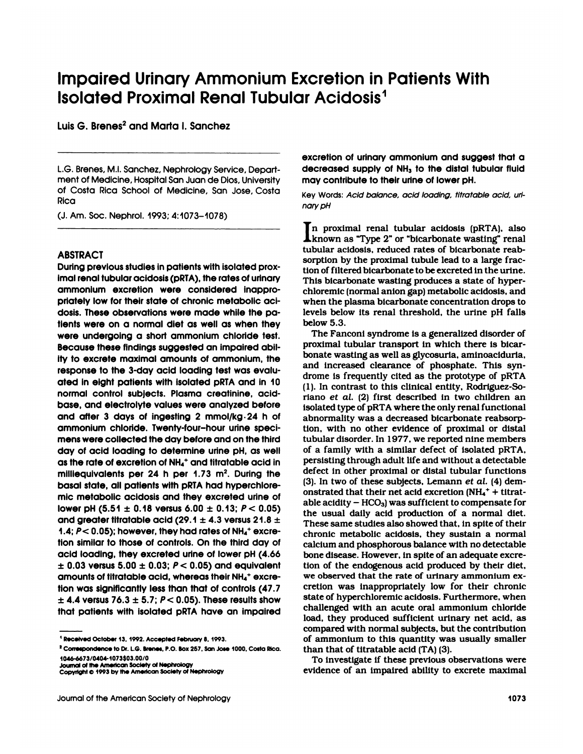# **Impaired Urinary Ammonium Excretion in Patients With Impaired Urinary Ammonium Excretion in Perfold and Ammonium Excretion in Perfold Strategy and Marta L Spechez** Impaired Urinary Ammo<br>Isolated Proximal Renal<br>Luis G. Brenes<sup>2</sup> and Marta I. Sanchez

L.G. Brenes, Ml. Sanchez, Nephrology Service, Department of Medicine, Medicine, Hospital San<br>1997 - Medicine, Hospital San Juan de Dios, University<br>1997 - Medicine, Hospital San Juan de Dios, University<br>1997 - Costa Rica School of Medicine, San Jose, Costa L.G. Brenes, M.I. Sanchez, Nephrology Service, Depart-<br>ment of Medicine, Hospital San Juan de Dios, University<br>of Costa Rica School of Medicine, San Jose, Costa<br>Rica Rica ment of Medicine, Hospital San Juan de Dios, University<br>of Costa Rica School of Medicine, San Jose, Costa<br>Rica<br>(J. Am. Soc. Nephrol. 1993; 4:1073–1078)

# ABSTRACT

During previous studies in patients with isolated prox**imal renal tubular acidosis (produced acidosis ABSTRACT**<br>During previous studies in patients with isolated proximal renal tubular acidosis (pRTA), the rates of urinary<br>ammonium excretion were considered inappro-ABSTRACT<br>During previous studies in patients with isolated protained representing inappro-<br>Imal renal tubular acidosis (pRTA), the rates of urino<br>ammonium excretion were considered inapp<br>priately low for their state of chr ABSTRACT<br>During previous studies in patients with isolated prox-<br>imal renal tubular acidosis (pRTA), the rates of urinary<br>ammonium - excretion - were - considered - inappro-<br>priately low for their state of chronic metaboli During previous studies in patients with isolated proximal renal tubular acidosis (pRTA), the rates of urinary<br>ammonium excretion were considered inappro-<br>priately low for their state of chronic metabolic aci-<br>dosis. These imal renal tubular acidosis (pRTA), the rates of urinary<br>ammonium excretion were considered inappro-<br>priately low for their state of chronic metabolic aci-<br>dosis. These observations were made while the pa-<br>tients were on a ammonium excretion were considered inappro-<br>priately low for their state of chronic metabolic aci-<br>dosis. These observations were made while the pa-<br>tients were on a normal diet as well as when they<br>were undergoing a short priately low for their state of chronic metabolic aci-<br>dosis. These observations were made while the pa-<br>tients were on a normal diet as well as when they<br>were undergoing a short ammonium chloride test.<br>Because these findi dosis. These observations were made while the pa-<br>tients were on a normal diet as well as when they<br>were undergoing a short ammonium chloride test.<br>Because these findings suggested an impaired abil-<br>ity to excrete maximal tients were on a normal diet as well as when the<br>were undergoing a short ammonium chloride tes<br>Because these findings suggested an impaired ab<br>ity to excrete maximal amounts of ammonium, tr<br>response to the 3-day acid loadi were undergoing a short ammonium chloride test.<br>
Because these findings suggested an impaired abil-<br>
ity to excrete maximal amounts of ammonium, the<br>
response to the 3-day acid loading test was evalu-<br>
and in 10 dated in Because these findings suggested an impaired ability to excrete maximal amounts of ammonium, the response to the 3-day acid loading test was evalu<br>ated in eight patients with isolated pRTA and in 1(<br>normal control subjects ity to excrete maximal amounts of ammonium, the<br>response to the 3-day acid loading test was evalu-<br>ated in eight patients with isolated pRTA and in 10<br>normal control subjects. Plasma creatinine, acid-<br>base, and electrolyt response to the 3-day acid loading test was evaluated in eight patients with isolated pRTA and in 10<br>normal control subjects. Plasma creatinine, acid-<br>base, and electrolyte values were analyzed before<br>and after 3 days of i ated in eight patients with isolated pRTA and in 1<br>normal control subjects. Plasma creatinine, acid<br>base, and electrolyte values were analyzed befou<br>and after 3 days of ingesting 2 mmol/kg·24 h<br>ammonium chloride. Twenty-fo normal control subjects. Plasma creatinine, acid-<br>base, and electrolyte values were analyzed before<br>and after 3 days of ingesting 2 mmol/kg·24 h of<br>ammonium chloride. Twenty-four-hour urine speci-<br>timens were collected the base, and electrolyte values were analyzed before<br>and after 3 days of ingesting 2 mmol/kg·24 h of<br>ammonium chloride. Twenty-four-hour urine speci-<br>mens were collected the day before and on the third<br>day of acid loading to and after 3 days of ingesting 2 mmol/kg $\cdot$ 24 h of absommonium chloride. Twenty-four-hour urine specitions were collected the day before and on the third tuiday of acid loading to determine urine pH, as well of as the rat ammonium chionae. Iwenty-four-nour unne speci-<br>mens were collected the day before and on the third<br>day of acid loading to determine urine pH, as well<br>as the rate of excretion of NH<sub>4</sub><sup>+</sup> and titratable acid in<br>milliequiva aay or acid loading to determine urine pH, as well<br>as the rate of excretion of NH<sub>4</sub><sup>+</sup> and titratable acid in<br>milliequivalents per 24 h per 1.73 m<sup>2</sup>. During the<br>basal state, all patients with pRTA had hyperchlore-<br>mic m milliequivalents per 24 h per 1.73 m<sup>2</sup>. During the<br>basal state, all patients with pRTA had hyperchlore-<br>mic metabolic acidosis and they excreted urine of<br>lower pH (5.51 ± 0.18 versus 6.00 ± 0.13;  $P < 0.05$ )<br>and greater t basal state, all patients with pRTA had hyperchlor<br>mic metabolic acidosis and they excreted urine<br>lower pH  $(5.51 \pm 0.18$  versus  $6.00 \pm 0.13$ ;  $P < 0.0$ <br>and greater titratable acid  $(29.1 \pm 4.3$  versus 21.8<br>1.4;  $P < 0.05$ mic metabolic acidosis and they excreted urine of<br>
lower pH (5.51  $\pm$  0.18 versus 6.00  $\pm$  0.13;  $P < 0.05$ )<br>
and greater titratable acid (29.1  $\pm$  4.3 versus 21.8  $\pm$ <br>
1.4;  $P < 0.05$ ); however, they had rates of NH<sub>4</sub> and greater titratable acid (29.1  $\pm$  4.3 versus 21.8  $\pm$  4.4;  $P < 0.05$ ); however, they had rates of NH<sub>4</sub><sup>+</sup> excretion similar to those of controls. On the third day of acid loading, they excreted urine of lower pH (4  $\pm$  0.03 versus 5.00  $\pm$  0.03;  $P$  < 0.05) and equivalent<br>amounts of titratable acid, whereas their NH<sub>4</sub>+ excretion was significantly less than that of controls (47.7<br> $\pm$  4.4 versus 76.3  $\pm$  5.7;  $P$  < 0.05). These r **II Received October 13, 1992. Accepted February 8. 1993.**<br> **2** Correspondence to Dr. L.G. Brenes, P.O. Box 257, San Jose 1000, Costa Rica.<br>
<sup>2</sup> Correspondence to Dr. L.G. Brenes, P.O. Box 257, San Jose 1000, Costa Rica.

excretion of urinary ammonium and suggest that a<br>decreased supply of NH<sub>3</sub> to the distal tubular fluid excretion of urinary ammonium and suggest that a<br>decreased supply of NH<sub>3</sub> to the distal tubular fluid<br>may contribute to their urine of lower pH. excretion of urinary ammonium and sugges<br>decreased supply of NH<sub>3</sub> to the distal tubu<br>may contribute to their urine of lower pH.<br>Key Words: *Acid balance, acid loading, titratable* excretion of urinary ammonium and suggest that a<br>decreased supply of NH<sub>3</sub> to the distal tubular fluid<br>may contribute to their urine of lower pH.<br>Key Words: *Acid balance, acid loading, titratable acid, urinary pH* 

nary pH

**III** networks: Acid balance, acid loading, titratable acid, un-<br> **I** n proximal renal tubular acidosis (pRTA), also<br> **I** n proximal renal tubular acidosis (pRTA), also<br> **I** known as "Type 2" or "bicarbonate wasting" renal y Words: *Acid balance, acid loading, titratable acid, un-*<br>*ry pH*<br>n proximal renal tubular acidosis (pRTA), also<br>known as "Type 2" or "bicarbonate wasting" renal<br>bular acidosis, reduced rates of bicarbonate reab $t$  and  $\mu$  and  $t$  and  $\mu$  acidosis (pRTA), also known as "Type 2" or "bicarbonate wasting" renab-<br>tubular acidosis, reduced rates of bicarbonate real-<br>sorption by the proximal tubule lead to a large frates In proximal renal tubular acidosis (pRTA), als<br>known as "Type  $2$ " or "bicarbonate wasting" rena<br>tubular acidosis, reduced rates of bicarbonate reals<br>sorption by the proximal tubule lead to a large frac<br>tion of filtered b In proximal renal tubular acidosis (pRTA), also<br>known as "Type 2" or "bicarbonate wasting" renal<br>tubular acidosis, reduced rates of bicarbonate reab-<br>sorption by the proximal tubule lead to a large frac-<br>tion of filtered b **L** known as "Type 2" or "bicarbonate wasting" retubular acidosis, reduced rates of bicarbonate resportion by the proximal tubule lead to a large fration of filtered bicarbonate to be excreted in the urif This bicarbonate tubular acidosis, reduced rates of bicarbonate reab-<br>sorption by the proximal tubule lead to a large frac-<br>tion of filtered bicarbonate to be excreted in the urine.<br>This bicarbonate wasting produces a state of hyper-<br>chlor sorption by the proximal tubule lead to a large fraction of filtered bicarbonate to be excreted in the urine.<br>This bicarbonate wasting produces a state of hyperchloremic (normal anion gap) metabolic acidosis, and when the tion of filtered bicarbonate to be excreted in the urine.<br>This bicarbonate wasting produces a state of hyper-<br>chloremic (normal anion gap) metabolic acidosis, and<br>when the plasma bicarbonate concentration drops to<br>levels b This bicarb<br>chloremic (n<br>when the pl.<br>levels below<br>below 5.3.<br>The Fanc normic (normal anion gap) metabolic acidosis, and<br>hen the plasma bicarbonate concentration drops to<br>vels below its renal threshold, the urine pH falls<br>low 5.3.<br>The Fanconi syndrome is a generalized disorder of<br>oximal tubul

tion similar to those of controls. On the third day of<br>
calcium and phosphorous balance with no detectable<br>
ccid loading, they excreted urine of lower pH (4.66<br>
to one disease. However, in spite of an adequate excre-<br>  $\pm$ when the plasma bicarbonate concentration drops<br>levels below its renal threshold, the urine pH fa<br>below 5.3.<br>The Fanconi syndrome is a generalized disorder<br>proximal tubular transport in which there is bica<br>bonate wasting a levels below its renal threshold, the urine pH fa<br>below 5.3.<br>The Fanconi syndrome is a generalized disorder<br>proximal tubular transport in which there is bic<br>bonate wasting as well as glycosuria, aminoacidun<br>and increased c below 5.3.<br>The Fanconi syndrome is a generalized disorder of<br>proximal tubular transport in which there is bicar<br>bonate wasting as well as glycosuria, aminoaciduria<br>and increased clearance of phosphate. This syn-<br>drome is f The Fanconi syndrome is a generalized disorder of<br>proximal tubular transport in which there is bicar-<br>bonate wasting as well as glycosuria, aminoaciduria,<br>and increased clearance of phosphate. This syn-<br>drome is frequently proximal tubular transport in which there is l<br>bonate wasting as well as glycosuria, aminoacid<br>and increased clearance of phosphate. This<br>drome is frequently cited as the prototype of <sub>|</sub><br>(1). In contrast to this clinical bonate wasting as well as glycosuria, aminoaciduria,<br>and increased clearance of phosphate. This syn-<br>drome is frequently cited as the prototype of pRTA<br>(1). In contrast to this clinical entity, Rodriguez-So-<br>riano *et al.* drome is frequently cited as the prototype of pRTA (1). In contrast to this clinical entity, Rodriguez-Soriano *et al.* (2) first described in two children an isolated type of pRTA where the only renal functional abnormali drome is frequently cited as the prototype of pl<br>(1). In contrast to this clinical entity, Rodriguez<br>riano *et al.* (2) first described in two children<br>isolated type of pRTA where the only renal function<br>abnormality was a (1). In contrast to this clinical entity, Rodriguez-Soriano *et al.* (2) first described in two children an isolated type of pRTA where the only renal functional abnormality was a decreased bicarbonate reabsorption, with riano *et al.* (2) first described in two children an isolated type of pRTA where the only renal functional abnormality was a decreased bicarbonate reabsorption, with no other evidence of proximal or distal tubular disorde isolated type of pRTA where the only renal functional<br>abnormality was a decreased bicarbonate reabsorp-<br>tion, with no other evidence of proximal or distal<br>tubular disorder. In 1977, we reported nine members<br>of a family wit abnormality was a decreased bicarbonate reabsorp-<br>tion, with no other evidence of proximal or distal<br>tubular disorder. In 1977, we reported nine members<br>of a family with a similar defect of isolated pRTA,<br>persisting throug tion, with no other evidence of proximal or distal<br>tubular disorder. In 1977, we reported nine members<br>of a family with a similar defect of isolated pRTA,<br>persisting through adult life and without a detectable<br>defect in o tubular disorder. In 1977, we reported nine member<br>of a family with a similar defect of isolated pRT*A*<br>persisting through adult life and without a detectabl<br>defect in other proximal or distal tubular function<br>(3). In two of a family with a similar defect of isolated pRTA,<br>persisting through adult life and without a detectable<br>defect in other proximal or distal tubular functions<br>(3). In two of these subjects, Lemann *et al.* (4) dem-<br>onstra defect in other proximal or distal tubular functions (3). In two of these subjects, Lemann *et al.* (4) demonstrated that their net acid excretion (NH<sub>4</sub><sup>+</sup> + titratable acidity – HCO<sub>3</sub>) was sufficient to compensate for able acidity  $-$  HCO<sub>3</sub>) was sufficient to compensate for (3). In two of these subjects, Lemann *et al.* (4) demonstrated that their net acid excretion  $(NH_4^+ + \text{titral-}$ <br>able acidity – HCO<sub>3</sub>) was sufficient to compensate for<br>the usual daily acid production of a normal diet.<br>The onstrated that their net acid excretion  $(NH<sub>4</sub><sup>+</sup> + titrat-  
able acidity – HCO<sub>3</sub>) was sufficient to compensate for  
the usual daily acid production of a normal diet.  
These same studies also showed that, in spite of their  
chronic metabolic acids, they sustain a normal  
calcium and phosphorous balance with no detectable$ able acidity  $-$  HCO<sub>3</sub>) was sufficient to compensate for<br>the usual daily acid production of a normal diet.<br>These same studies also showed that, in spite of their<br>chronic metabolic acidosis, they sustain a normal<br>calcium These same studies also showed that, in spite of their These same studies also showed that, in spite of their<br>chronic metabolic acidosis, they sustain a normal<br>calcium and phosphorous balance with no detectable<br>bone disease. However, in spite of an adequate excre-<br>tion of the chronic metabolic acidosis, they sustain a normal calcium and phosphorous balance with no detectable<br>bone disease. However, in spite of an adequate excretion of the endogenous acid produced by their diet,<br>we observed that calcium and phosphorous balance with no detectable<br>bone disease. However, in spite of an adequate excretion of the endogenous acid produced by their diet,<br>we observed that the rate of urinary ammonium ex-<br>cretion was inapp bone disease. However, in spite of an adequate excretion of the endogenous acid produced by their diet, we observed that the rate of urinary ammonium excretion was inappropriately low for their chronic state of hyperchlore tion of the endogenous acid produced by their diet,<br>we observed that the rate of urinary ammonium ex-<br>cretion was inappropriately low for their chronic<br>state of hyperchloremic acidosis. Furthermore, when<br>challenged with an we observed that the rate of urinary ammonium ex-<br>cretion was inappropriately low for their chronic<br>state of hyperchloremic acidosis. Furthermore, when<br>challenged with an acute oral ammonium chloride<br>load, they produced su cretion was inappropriately low for their chronic<br>state of hyperchloremic acidosis. Furthermore, when<br>challenged with an acute oral ammonium chloride<br>load, they produced sufficient urinary net acid, as<br>compared with normal state of hyperchloremic acidosis. Furthermore, when<br>challenged with an acute oral ammonium chloride<br>load, they produced sufficient urinary net acid, as<br>compared with normal subjects, but the contribution<br>of ammonium to thi challenged with an acute oral ammoload, they produced sufficient urina<br>compared with normal subjects, but the<br>of ammonium to this quantity was u<br>than that of titratable acid (TA) (3).<br>To investigate if these previous obs compared with normal subjects, but the contribution<br>of ammonium to this quantity was usually smaller<br>than that of titratable acid (TA) (3).<br>To investigate if these previous observations were<br>evidence of an impaired ability compared with normal subjects, but the contributed of ammonium to this quantity was usually smathan that of titratable acid (TA) (3).<br>To investigate if these previous observations wevidence of an impaired ability to excret

1046-6673/0404-1073\$03.00/0<br>Journal of the American Society of Nephrology<br>Journal of the American Society of Nephrology<br>Journal of the American Society of Nephrology<br>1073<br>1073

<sup>&</sup>lt;sup>1</sup> Received October 13, 1992. Accepted February 8, 1993.<br><sup>2</sup> Correspondence to Dr. L.G. Brenes, P.O. Box 257, San Jose 1000, Costa Rica.<br>1046-6673/0404-1073\$03.00/0 <sup>1</sup> Received October 13, 1992. Accepted February 8, 1993.<br><sup>2</sup> Correspondence to Dr. L.G. Brenes, P.O. Box 257, San Jose 1<br>1046-6673/0404-1073\$03.00/0<br>Journal of the American Society of Nephrology<br>Copyright © 1993 by the Am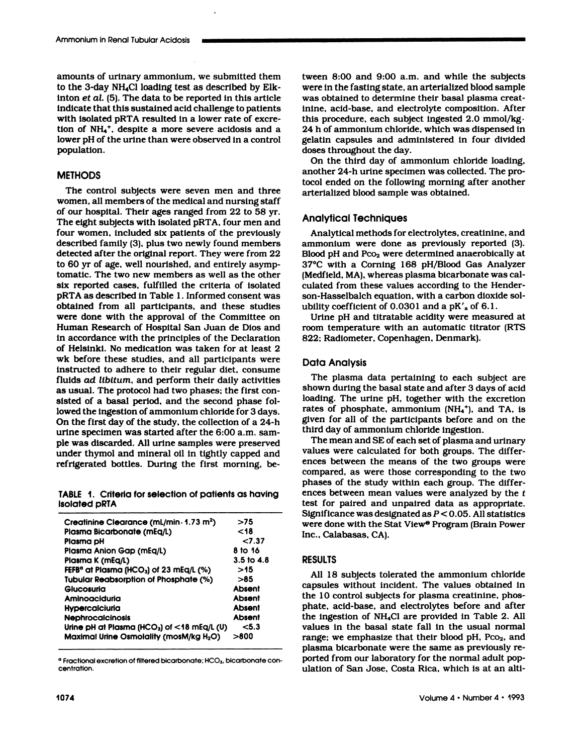Ammonium in Renal Tubular Acidosis<br>amounts of urinary ammonium, we submitted them two<br>to the 3-day NH<sub>4</sub>Cl loading test as described by Elk- wer the state interest research across and the 3-day NH<sub>4</sub>Cl loading test as described by Elk-<br>the 3-day NH<sub>4</sub>Cl loading test as described by Elk-<br>inton *et al.* (5). The data to be reported in this article amounts of urinary ammonium, we submitted them<br>to the 3-day NH<sub>4</sub>Cl loading test as described by Elk-<br>inton *et al*. (5). The data to be reported in this article<br>indicate that this sustained acid challenge to patients amounts of urinary ammonium, we submitted them<br>to the 3-day NH<sub>4</sub>Cl loading test as described by Elk-<br>inton *et al*. (5). The data to be reported in this article<br>indicate that this sustained acid challenge to patients<br>with amounts of urinary ammonium, we submitted the<br>to the 3-day NH<sub>4</sub>Cl loading test as described by El<br>inton *et al*. (5). The data to be reported in this artic<br>indicate that this sustained acid challenge to patier<br>with isolat to the 3-day NH<sub>4</sub>Cl loading test as described by Elk-<br>inton *et al.* (5). The data to be reported in this article<br>indicate that this sustained acid challenge to patients<br>with isolated pRTA resulted in a lower rate of exc inton *et al.* (5). The data to be reported in this article indicate that this sustained acid challenge to patients with isolated pRTA resulted in a lower rate of excretion of  $NH_4^+$ , despite a more severe acidosis and a population.

# **METHODS**

The control subjects were seven men and three women, all members of the medical and nursing staff of our hospital. Their ages ranged from 22 to  $58$  vr. **METHODS**<br>The control subjects were seven men and three<br>women, all members of the medical and nursing staff<br>of our hospital. Their ages ranged from 22 to 58 yr.<br>The eight subjects with isolated pRTA, four men and The control subjects were seven men and three<br>women, all members of the medical and nursing staff<br>of our hospital. Their ages ranged from 22 to 58 yr.<br>The eight subjects with isolated pRTA, four men and<br>four women, include The control subjects were seven men and three<br>women, all members of the medical and nursing staff<br>of our hospital. Their ages ranged from 22 to 58 yr.<br>The eight subjects with isolated pRTA, four men and<br>four women, include women, all members of the medical and nursing staff<br>of our hospital. Their ages ranged from 22 to 58 yr.<br>The eight subjects with isolated pRTA, four men and<br>four women, included six patients of the previously<br>described fam of our hospital. Their ages ranged from 22 to 58 yr.<br>The eight subjects with isolated pRTA, four men and<br>four women, included six patients of the previously<br>described family (3), plus two newly found members<br>detected after four women, included six patients of the previously described family (3), plus two newly found members detected after the original report. They were from 22 to 60 yr of age, well nourished, and entirely asymptomatic. The t four women, included six patients of the previously<br>described family (3), plus two newly found members<br>detected after the original report. They were from 22<br>to 60 yr of age, well nourished, and entirely asymp-<br>tomatic. The described family (3), plus two newly found members<br>detected after the original report. They were from 22<br>to 60 yr of age, well nourished, and entirely asymp-<br>tomatic. The two new members as well as the other<br>six reported c detected after the original report. They were from 22<br>to 60 yr of age, well nourished, and entirely asymp-<br>tomatic. The two new members as well as the other<br>six reported cases, fulfilled the criteria of isolated<br>pRTA as de to 60 yr of age, well nourished, and entirely asymptomatic. The two new members as well as the other six reported cases, fulfilled the criteria of isolated pRTA as described in Table 1. Informed consent was obtained from a tomatic. The two new members as well as the other<br>six reported cases, fulfilled the criteria of isolated<br>pRTA as described in Table 1. Informed consent was<br>obtained from all participants, and these studies<br>were done with t pRTA as described in Table 1. Informed consent was<br>
obtained from all participants, and these studies<br>
were done with the approval of the Committee on<br>
Human Research of Hospital San Juan de Dios and<br>
in accordance with t in accordance with the principles of the Declaration obtained from all participants, and these studies<br>were done with the approval of the Committee on<br>Human Research of Hospital San Juan de Dios and<br>in accordance with the principles of the Declaration<br>of Helsinki. No medicat were done with the approval of the Committee on<br>Human Research of Hospital San Juan de Dios and<br>in accordance with the principles of the Declaration<br>of Helsinki. No medication was taken for at least 2<br>wk before these studi Human Research of Hospital San Juan de Dios and<br>in accordance with the principles of the Declaration<br>of Helsinki. No medication was taken for at least 2<br>wk before these studies, and all participants were<br>instructed to adhe in accordance with the principles of the Declaration<br>of Helsinki. No medication was taken for at least 2<br>wk before these studies, and all participants were<br>instructed to adhere to their regular diet, consume<br>fluids *ad lib* of Helsinki. No medication was taken for at least 2<br>wk before these studies, and all participants were<br>instructed to adhere to their regular diet, consume<br>fluids ad libitum, and perform their daily activities<br>as usual. The wk before these studies, and all participants were<br>instructed to adhere to their regular diet, consume<br>fluids ad libitum, and perform their daily activities<br>as usual. The protocol had two phases; the first con-<br>sisted of a instructed to adhere to their regular diet, consume<br>fluids ad libitum, and perform their daily activities<br>as usual. The protocol had two phases; the first con-<br>sisted of a basal period, and the second phase fol-<br>lowed the fluids *ad libitum*, and perform their daily activities<br>as usual. The protocol had two phases; the first con-<br>sisted of a basal period, and the second phase fol-<br>lowed the ingestion of ammonium chloride for 3 days.<br>On the as usual. The protocol had two phases; the first consisted of a basal period, and the second phase followed the ingestion of ammonium chloride for 3 days On the first day of the study, the collection of a 24-<br>urine specime sisted of a basal period, and the second phase fol-<br>lowed the ingestion of ammonium chloride for 3 days.<br>On the first day of the study, the collection of a 24-h<br>urine specimen was started after the 6:00 a.m. sam-<br>ple was d lowed the ingestion of ammonium chloride for 3 days.<br>On the first day of the study, the collection of a 24-h<br>urine specimen was started after the 6:00 a.m. sam-<br>ple was discarded. All urine samples were preserved<br>under thy On the first day of the study, the collection of a 24-h<br>urine specimen was started after the 6:00 a.m. sam-<br>ple was discarded. All urine samples were preserved<br>under thymol and mineral oil in tightly capped and<br>refrigerate Die was alscarded. All urine samples were preserved<br>
under thymol and mineral oil in tightly capped and<br>
refrigerated bottles. During the first morning, be-<br> **TABLE 1. Criteria for selection of patients as having**<br>
isolate

refrigerated bottles. During the first morning, be-<br>TABLE 1. Criteria for selection of patients as having<br>isolated pRTA

| Creatinine Clearance (mL/min 01.73 m <sup>2</sup> )                               | >75                   |
|-----------------------------------------------------------------------------------|-----------------------|
| Plasma Bicarbonate (mEq/L)                                                        | 18                    |
| Plasma pH                                                                         | 27.37                 |
| Plasma Anion Gap (mEq/L)                                                          | 8 to 16               |
| Plasma K (mEg/L)                                                                  | $3.5 \text{ to } 4.8$ |
| FEFB <sup><math>\alpha</math></sup> at Plasma (HCO <sub>3</sub> ) of 23 mEq/L (%) | >15                   |
| Tubular Reabsorption of Phosphate (%)                                             | >85                   |
| Glucosuria                                                                        | Absent                |
| Aminoaciduria                                                                     | <b>Absent</b>         |
| Hypercalciuria                                                                    | <b>Absent</b>         |
| <b>Nephrocalcinosis</b>                                                           | Absent                |
| Urine pH at Plasma (HCO <sub>3</sub> ) of $<$ 18 mEq/L (U)                        | < 5.3                 |
| Maximal Urine Osmolality (mosM/kg $H_2O$ )                                        | > 800                 |

tween 8:00 and 9:00 a.m. and while the subjects tween 8:00 and 9:00 a.m. and while the subjects<br>were in the fasting state, an arterialized blood sample<br>was obtained to determine their basal plasma creattween 8:00 and 9:00 a.m. and while the subjects<br>were in the fasting state, an arterialized blood sample<br>was obtained to determine their basal plasma creat-<br>inine, acid-base, and electrolyte composition. After<br>this procedu tween 8:00 and 9:00 a.m. and while the subjects<br>were in the fasting state, an arterialized blood sample<br>was obtained to determine their basal plasma creat-<br>inine, acid-base, and electrolyte composition. After<br>this procedur tween 8:00 and 9:00 a.m. and while the subject<br>were in the fasting state, an arterialized blood sampl<br>was obtained to determine their basal plasma creat<br>inine, acid-base, and electrolyte composition. After<br>this procedure, were in the fasting state, an arterialized blood sample<br>was obtained to determine their basal plasma creat-<br>inine, acid-base, and electrolyte composition. After<br>this procedure, each subject ingested 2.0 mmol/kg·<br>24 h of am was obtained to determine their basal plasma creat-<br>inine, acid-base, and electrolyte composition. After<br>this procedure, each subject ingested 2.0 mmol/kg.<br>24 h of ammonium chloride, which was dispensed in<br>gelatin capsules inine, acid-base, and electical<br>this procedure, each subject<br>24 h of ammonium chloride<br>gelatin capsules and admin<br>doses throughout the day.<br>On the third day of amn is procedure, each subject ingested 2.0 mmol/kg·<br>I h of ammonium chloride, which was dispensed in<br>latin capsules and administered in four divided<br>ses throughout the day.<br>On the third day of ammonium chloride loading,<br>nothe

24 h of ammonium chloride, which was dispensed in<br>gelatin capsules and administered in four divided<br>doses throughout the day.<br>On the third day of ammonium chloride loading<br>another 24-h urine specimen was collected. The pro gelatin capsules and administered in four divided<br>doses throughout the day.<br>On the third day of ammonium chloride loading,<br>another 24-h urine specimen was collected. The pro-<br>tocol ended on the following morning after anot doses throughout the day.<br>
On the third day of ammonium chl<br>
another 24-h urine specimen was colle<br>
tocol ended on the following morning<br>
arterialized blood sample was obtained another 24-h urine specime<br>tocol ended on the followir<br>arterialized blood sample w<br>Analytical Techniques<br>Analytical methods for ele

arterialized blood sample was obtained.<br>
Analytical Techniques<br>
Analytical methods for electrolytes, creatinine, and<br>
ammonium were done as previously reported (3).<br>
Blood pH and Pco<sub>2</sub> were determined anaerobically at ammonlum were done as previously reported (3). Analytical Techniques<br>Analytical methods for electrolytes, creatinine, and<br>ammonium were done as previously reported (3).<br>Blood pH and Pco<sub>2</sub> were determined anaerobically at<br>37°C with a Corning 168 pH/Blood Gas Analyzer Analytical nechniques<br>
Analytical methods for electrolytes, creatinine, and<br>
ammonium were done as previously reported (3).<br>
Blood pH and Pco<sub>2</sub> were determined anaerobically at<br>
37°C with a Corning 168 pH/Blood Gas Analyz Analytical methods for electrolytes, creatinine, and<br>ammonium were done as previously reported (3).<br>Blood pH and Pco<sub>2</sub> were determined anaerobically at<br>37°C with a Corning 168 pH/Blood Gas Analyzer<br>(Medfield, MA), wherea ammonium were done as previously reported<br>Blood pH and Pco<sub>2</sub> were determined anaerobically<br>37°C with a Corning 168 pH/Blood Gas Analy<br>(Medfield, MA), whereas plasma bicarbonate was explaned from these values according to Blood pH and Pco<sub>2</sub> were determined anaerobically at 37°C with a Corning 168 pH/Blood Gas Analyzer<br>(Medfield, MA), whereas plasma bicarbonate was cal-<br>culated from these values according to the Hender-<br>son-Hasselbalch equ 37°C with a Corning 168 pH/Blood Gas Ana<br>(Medfield, MA), whereas plasma bicarbonate was<br>culated from these values according to the Her<br>son-Hasselbalch equation, with a carbon dioxide<br>ubility coefficient of 0.0301 and a pK' ledfield, MA), whereas plasma bicarbonate was callated from these values according to the Hender-<br>n-Hasselbalch equation, with a carbon dioxide sol-<br>ility coefficient of 0.0301 and a pK'<sub>a</sub> of 6.1.<br>Urine pH and titratable son-Hasselbalch equation, with a carbon dioxide solubility coefficient of 0.0301 and a  $pK'$ <sub>a</sub> of 6.1.<br>Urine  $pH$  and titratable acidity were measured at

son-Hasselbalch equation, with a carbon<br>ubility coefficient of 0.0301 and a pK'<sub>a</sub> of<br>Urine pH and titratable acidity were n<br>room temperature with an automatic ti<br>822; Radiometer, Copenhagen, Denmark Urine pH and titr<br>1922: Radiometer, C<br>202: Radiometer, C<br>Data Analysis<br>The plasma data

Data Analysis<br>The plasma data pertaining to each subject are<br>shown during the basal state and after 3 days of acid loading. The urine pH, together with the excretion Data Analysis<br>The plasma data pertaining to each subject are<br>shown during the basal state and after 3 days of acid<br>loading. The urine pH, together with the excretion<br>rates of phosphate, ammonium (NH<sub>4</sub><sup>+</sup>), and TA, is Distributed Antility and the phasma data pertaining to each subject are shown during the basal state and after 3 days of acid loading. The urine pH, together with the excretion rates of phosphate, ammonium  $(NH_4^+)$ , and T The plasma data pertaining to each subject are<br>shown during the basal state and after 3 days of acid<br>loading. The urine pH, together with the excretion<br>rates of phosphate, ammonium  $(NH_4^+)$ , and TA, is<br>given for all of th shown during the basal state and after 3 doading. The urine pH, together with the rates of phosphate, ammonium (NH<sub>4</sub><sup>+</sup>), agiven for all of the participants before a third day of ammonium chloride ingestion. The mean and ading. The urine pH, together with the excretion<br>tes of phosphate, ammonium (NH<sub>4</sub><sup>+</sup>), and TA, is<br>ven for all of the participants before and on the<br>ird day of ammonium chloride ingestion.<br>The mean and SE of each set of pl

rates of phosphate, ammonium (NH<sub>4</sub><sup>+</sup>), and TA, given for all of the participants before and on t<br>third day of ammonium chloride ingestion.<br>The mean and SE of each set of plasma and urina<br>values were calculated for both g given for all of the participants before and on the<br>third day of ammonium chloride ingestion.<br>The mean and SE of each set of plasma and urinary<br>values were calculated for both groups. The differ-<br>ences between the means of third day of ammonium chloride ingestion.<br>The mean and SE of each set of plasma and urinary<br>values were calculated for both groups. The differ-<br>ences between the means of the two groups were<br>compared, as were those corresp values were calculated for both groups. The differences between the means of the two groups were compared, as were those corresponding to the two phases of the study within each group. The differences between mean values values were calculated for both groups. The differences between the means of the two groups were compared, as were those corresponding to the two phases of the study within each group. The differences between mean values w ences between the means of the two groups we<br>compared, as were those corresponding to the ty<br>phases of the study within each group. The differences between mean values were analyzed by the<br>test for paired and unpaired data compared, as were those corresponding to the two<br>phases of the study within each group. The differ-<br>ences between mean values were analyzed by the *t*<br>test for paired and unpaired data as appropriate.<br>Significance was desi phases of the study within each group. The differences between mean values were analyzed by the *t* test for paired and unpaired data as appropriate. Significance was designated as  $P < 0.05$ . All statistics were done with ences between mean v<br>test for paired and u<br>Significance was design<br>were done with the Sta<br>Inc., Calabasas, CA).

# RESULTS

Fractional excretion of filtered bicarbonate; HCO<sub>3</sub>, bicarbonate con-<br>
ulation of San Jose, Costa Rica, which is at an alti-<br>
ulation of San Jose, Costa Rica, which is at an alti-<br>
Volume 4 · Number 4 · 1993 were done with the Stat View<sup>®</sup> Program (Brain Power<br>Inc., Calabasas, CA).<br>RESULTS<br>All 18 subjects tolerated the ammonium chloride<br>capsules without incident. The values obtained in<br>the 10 control subjects for plasma creati RESULTS<br>
All 18 subjects tolerated the ammonium chloride<br>
capsules without incident. The values obtained in<br>
the 10 control subjects for plasma creatinine, phos-RESULTS<br>All 18 subjects tolerated the ammonium chloric<br>capsules without incident. The values obtained<br>the 10 control subjects for plasma creatinine, pho<br>phate, acid-base, and electrolytes before and aft All 18 subjects tolerated the ammonium chloride<br>capsules without incident. The values obtained in<br>the 10 control subjects for plasma creatinine, phos-<br>phate, acid-base, and electrolytes before and after<br>the ingestion of NH All 18 subjects tolerated the ammonium chloride<br>capsules without incident. The values obtained in<br>the 10 control subjects for plasma creatinine, phos-<br>phate, acid-base, and electrolytes before and after<br>the ingestion of NH capsules without incident. The values obtained in<br>the 10 control subjects for plasma creatinine, phos-<br>phate, acid-base, and electrolytes before and after<br>the ingestion of NH<sub>4</sub>Cl are provided in Table 2. All<br>values in the the 10 control subjects for plasma creatinine, phos-<br>phate, acid-base, and electrolytes before and after<br>the ingestion of NH<sub>4</sub>Cl are provided in Table 2. All<br>values in the basal state fall in the usual normal<br>range; we em phate, acid-base, and electrolytes before and after<br>the ingestion of NH<sub>4</sub>Cl are provided in Table 2. All<br>values in the basal state fall in the usual normal<br>range; we emphasize that their blood pH, Pco<sub>2</sub>, and<br>plasma bicar the ingestion of NH<sub>4</sub>Cl are provided in Table 2. Al<br>values in the basal state fall in the usual norma<br>range; we emphasize that their blood pH, Pco<sub>2</sub>, and<br>plasma bicarbonate were the same as previously re<br>ported from our values in the basal state fall in the usual normal<br>range; we emphasize that their blood pH, Pco<sub>2</sub>, and<br>plasma bicarbonate were the same as previously re-<br>ported from our laboratory for the normal adult pop-<br>ulation of San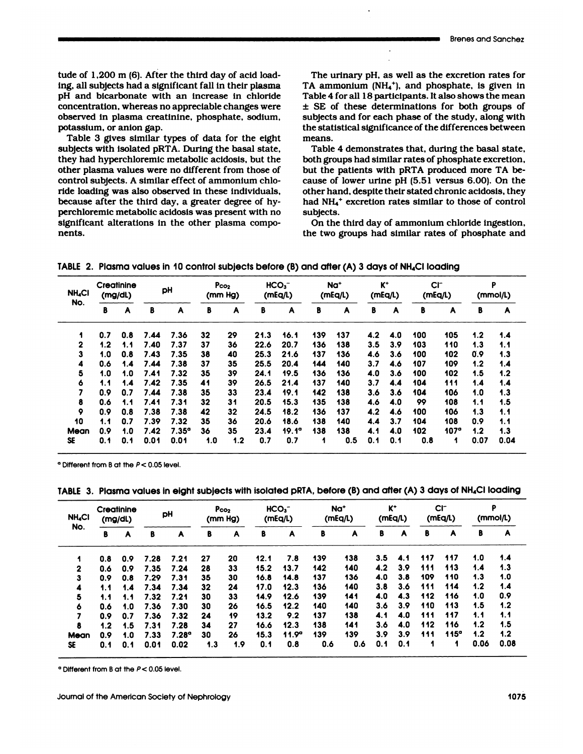tude of 1,200 m (6). After the third day of acid load-<br>ing, all subjects had a significant fall in their plasma tude of 1,200 m (6). After the third day of acid load-<br>ing, all subjects had a significant fall in their plasma<br>pH and bicarbonate with an increase in chloride tude of 1,200 m (6). After the third day of acid loading, all subjects had a significant fall in their plasma<br>pH and bicarbonate with an increase in chloride<br>concentration, whereas no appreciable changes were tude of 1,200 m (6). After the third day of acid loading, all subjects had a significant fall in their plasma<br>pH and bicarbonate with an increase in chloride<br>concentration, whereas no appreciable changes were<br>observed in p tude of 1,200 m (6). After the third day of acid loading, all subjects had a significant fall in their plasma<br>pH and bicarbonate with an increase in chloride<br>concentration, whereas no appreciable changes were<br>observed in p ing, all subjects had a sign<br>pH and bicarbonate with<br>concentration, whereas no<br>observed in plasma creati<br>potassium, or anion gap.<br>Table 3 gives similar ty I and bicarbonate with an increase in chloride<br>ncentration, whereas no appreciable changes were<br>served in plasma creatinine, phosphate, sodium,<br>tassium, or anion gap.<br>Table 3 gives similar types of data for the eight<br>bject

concentration, whereas no appreciable changes were<br>observed in plasma creatinine, phosphate, sodium,<br>potassium, or anion gap.<br>Table 3 gives similar types of data for the eight<br>subjects with isolated pRTA. During the basal observed in plasma creatinine, phosphate, sodium,<br>potassium, or anion gap.<br>Table 3 gives similar types of data for the eight<br>subjects with isolated pRTA. During the basal state,<br>they had hyperchloremic metabolic acidosis, potassium, or anion gap.<br>Table 3 gives similar types of data for the eight<br>subjects with isolated pRTA. During the basal state,<br>they had hyperchloremic metabolic acidosis, but the<br>other plasma values were no different from Table 3 gives similar types of data for the eight<br>subjects with isolated pRTA. During the basal state,<br>they had hyperchloremic metabolic acidosis, but the<br>other plasma values were no different from those of<br>control subject subjects with isolated pRTA. During the basal stat<br>they had hyperchloremic metabolic acidosis, but th<br>other plasma values were no different from those  $\alpha$ <br>control subjects. A similar effect of ammonium chl<br>ride loading wa they had hyperchloremic metabolic acidosis, but the<br>other plasma values were no different from those of<br>control subjects. A similar effect of ammonium chlo-<br>ride loading was also observed in these individuals,<br>because afte other plasma values were no different from those of<br>control subjects. A similar effect of ammonium chlo-<br>ride loading was also observed in these individuals,<br>because after the third day, a greater degree of hy-<br>perchloremi control subjects. A similar effect of ammonium ch<br>ride loading was also observed in these individua<br>because after the third day, a greater degree of l<br>perchloremic metabolic acidosis was present with<br>significant alteration nents. Significant alterations in the other plasma compo-<br>
TABLE 2. Plasma values in 10 control subjects before (B) and after (A) 3 days of NH<sub>4</sub>CI loading

The urinary pH, as well as the excretion rates for<br>The urinary pH, as well as the excretion rates for<br>TA ammonium (NH<sub>4</sub><sup>+</sup>), and phosphate, is given in The urinary pH, as well as the excretion rates for<br>TA ammonium (NH<sub>4</sub><sup>+</sup>), and phosphate, is given in<br>Table 4 for all 18 participants. It also shows the mean The urinary pH, as well as the excretion rates for<br>TA ammonium (NH<sub>4</sub><sup>+</sup>), and phosphate, is given in<br>Table 4 for all 18 participants. It also shows the mean<br> $\pm$  SE of these determinations for both groups of The urinary pH, as well as the excretion rates for<br>TA ammonium ( $NH<sub>4</sub>$ <sup>+</sup>), and phosphate, is given in<br>Table 4 for all 18 participants. It also shows the mean<br> $\pm$  SE of these determinations for both groups of<br>subject The urinary pH, as well as the excretion rates for<br>TA ammonium (NH<sub>4</sub><sup>+</sup>), and phosphate, is given in<br>Table 4 for all 18 participants. It also shows the mean<br> $\pm$  SE of these determinations for both groups of<br>subjects and TA ammonium (NH<sub>4</sub><sup>+</sup>), and phosphate, is given in Table 4 for all 18 participants. It also shows the mean  $\pm$  SE of these determinations for both groups of subjects and for each phase of the study, along with the statis

subjects and for each phase of the study, along with<br>the statistical significance of the differences between<br>means.<br>Table 4 demonstrates that, during the basal state<br>both groups had similar rates of phosphate excretion<br>but the statistical significance of the differences between<br>means.<br>Table 4 demonstrates that, during the basal state,<br>both groups had similar rates of phosphate excretion,<br>but the patients with pRTA produced more TA be-<br>cause means.<br>Table 4 demonstrates that, during the basal state,<br>both groups had similar rates of phosphate excretion,<br>but the patients with pRTA produced more TA be-<br>cause of lower urine pH (5.51 versus 6.00). On the<br>other hand, Table 4 demonstrates that, during the basal state,<br>both groups had similar rates of phosphate excretion,<br>but the patients with pRTA produced more TA be-<br>cause of lower urine pH  $(5.51 \text{ versus } 6.00)$ . On the<br>other hand, despi both groups had similar rates of phosphate excretion,<br>but the patients with pRTA produced more TA be-<br>cause of lower urine pH (5.51 versus 6.00). On the<br>other hand, despite their stated chronic acidosis, they<br>had NH<sub>4</sub><sup>+</sup> subjects. use of lower urine pH (5.51 versus 6.00). On the<br>her hand, despite their stated chronic acidosis, the<br>id NH<sub>4</sub><sup>+</sup> excretion rates similar to those of contro<br>ibjects.<br>On the third day of ammonium chloride ingestion<br>e two gr other hand, despite their stated chronic acidosis, they<br>had NH<sub>4</sub>+ excretion rates similar to those of control<br>subjects.<br>On the third day of ammonium chloride ingestion,<br>the two groups had similar rates of phosphate and

| <b>NH<sub>4</sub>CI</b><br>No. | Creatinine<br>(mg/dL) |     | pH   |              | P <sub>co<sub>2</sub></sub><br>(mm Hg) |     | HCO <sub>3</sub><br>(mEq/L) |       |     | Na <sup>+</sup><br>(mEq/L) | $K^+$<br>(mEq/L) |              | $CI^-$<br>(mEq/L) |             | P<br>(mmol/L) |      |
|--------------------------------|-----------------------|-----|------|--------------|----------------------------------------|-----|-----------------------------|-------|-----|----------------------------|------------------|--------------|-------------------|-------------|---------------|------|
|                                | в                     | A   | В    | A            | в                                      | A   | В                           | A     | В   | A                          | B                | $\mathbf{A}$ | В                 | A           | в             | A    |
|                                | 0.7                   | 0.8 | 7.44 | 7.36         | 32                                     | 29  | 21.3                        | 16.1  | 139 | 137                        | 4.2              | 4.0          | 100               | 105         | 1.2           | 1.4  |
| 2                              | 1.2                   | 1.1 | 7.40 | 7.37         | 37                                     | 36  | 22.6                        | 20.7  | 136 | 138                        | 3.5              | 3.9          | 103               | 110         | 1.3           | 1.1  |
| 3                              | 1.0                   | 0.8 | 7.43 | 7.35         | 38                                     | 40  | 25.3                        | 21.6  | 137 | 136                        | 4.6              | 3.6          | 100               | 102         | 0.9           | 1.3  |
| 4                              | 0.6                   | 1.4 | 7.44 | 7.38         | 37                                     | 35  | 25.5                        | 20.4  | 144 | 140                        | 3.7              | 4.6          | 107               | 109         | 1.2           | 1.4  |
| 5                              | 1.0                   | 1.0 | 7.41 | 7.32         | 35                                     | 39  | 24.1                        | 19.5  | 136 | 136                        | 4.0              | 3.6          | 100               | 102         | 1.5           | 1.2  |
| 6                              | 1.1                   | 1.4 | 7.42 | 7.35         | 41                                     | 39  | 26.5                        | 21.4  | 137 | 140                        | 3.7              | 4.4          | 104               | 111         | 1.4           | 1.4  |
| 7                              | 0.9                   | 0.7 | 7.44 | 7.38         | 35                                     | 33  | 23.4                        | 19.1  | 142 | 138                        | 3.6              | 3.6          | 104               | 106         | 1.0           | 1.3  |
| 8                              | 0.6                   | 1.1 | 7.41 | 7.31         | 32                                     | 31  | 20.5                        | 15.3  | 135 | 138                        | 4.6              | 4.0          | 99                | 108         | 1.1           | 1.5  |
| 9                              | 0.9                   | 0.8 | 7.38 | 7.38         | 42                                     | 32  | 24.5                        | 18.2  | 136 | 137                        | 4.2              | 4.6          | 100               | 106         | 1.3           | 1.1  |
| 10                             | 1.1                   | 0.7 | 7.39 | 7.32         | 35                                     | 36  | 20.6                        | 18.6  | 138 | 140                        | 4.4              | 3.7          | 104               | 108         | 0.9           | 1.1  |
| Mean                           | 0.9                   | 1.0 | 7.42 | $7.35^\circ$ | 36                                     | 35  | 23.4                        | 19.1° | 138 | 138                        | 4.1              | 4.0          | 102               | $107^\circ$ | 1.2           | 1.3  |
| SE                             | 0.1                   | 0.1 | 0.01 | 0.01         | 1.0                                    | 1.2 | 0.7                         | 0.7   | 1   | 0.5                        | 0.1              | 0.1          | 0.8               | 1           | 0.07          | 0.04 |

| <b>NH<sub>4</sub>CI</b><br>No. | Creatinine<br>(mg/dL) |     | pH   |                   | Pco <sub>2</sub><br>(mm Hg) |     | HCO <sub>3</sub><br>(mEq/L) |       | Na <sup>+</sup><br>(mEq/L) |     | $K^+$<br>(mEq/L) |                  | $CI^-$<br>(mEq/L) |      | P<br>(mmol/L) |      |
|--------------------------------|-----------------------|-----|------|-------------------|-----------------------------|-----|-----------------------------|-------|----------------------------|-----|------------------|------------------|-------------------|------|---------------|------|
|                                | в                     | A   | B    | A                 | B                           | A   | в                           | A     | B                          | A   | В                | A                | в                 | A    | B             | A    |
| 1                              | 0.8                   | 0.9 | 7.28 | 7.21              | 27                          | 20  | 12.1                        | 7.8   | 139                        | 138 | 3.5              | 4.1              | 117               | 117  | 1.0           | 1.4  |
| $\mathbf{2}$                   | 0.6                   | 0.9 | 7.35 | 7.24              | 28                          | 33  | 15.2                        | 13.7  | 142                        | 140 | 4.2              | 3.9 <sup>2</sup> | 111               | 113  | 1.4           | 1.3  |
| 3                              | 0.9                   | 0.8 | 7.29 | 7.31              | 35                          | 30  | 16.8                        | 14.8  | 137                        | 136 | 4.0              | 3.8              | 109               | 110  | 1.3           | 1.0  |
| 4                              | 1.1                   | 1.4 | 7.34 | 7.34              | 32                          | 24  | 17.0                        | 12.3  | 136                        | 140 | 3.8              | 3.6              | 111               | 114  | 1.2           | 1.4  |
| 5                              | 1.1                   | 1.1 | 7.32 | 7.21              | 30                          | 33  | 14.9                        | 12.6  | 139                        | 141 | 4.0              | 4.3              | 112               | 116  | 1.0           | 0.9  |
| 6                              | 0.6                   | 1.0 | 7.36 | 7.30              | 30                          | 26  | 16.5                        | 12.2  | 140                        | 140 | 3.6              | 3.9              | 110               | 113  | 1.5           | 1.2  |
| 7                              | 0.9                   | 0.7 | 7.36 | 7.32              | 24                          | 19  | 13.2                        | 9.2   | 137                        | 138 | 4.1              | 4.0              | 111               | 117  | 1.1           | 1.1  |
| 8                              | 1.2                   | 1.5 | 7.31 | 7.28              | 34                          | 27  | 16.6                        | 12.3  | 138                        | 141 | 3.6              | 4.0              | 112               | 116  | 1.2           | 1.5  |
| <b>Mean</b>                    | 0.9                   | 1.0 | 7.33 | 7.28 <sup>o</sup> | 30                          | 26  | 15.3                        | 11.9° | 139                        | 139 | 3.9              | 3.9              | 111               | 115° | 1.2           | 1.2  |
| SE                             | 0.1                   | 0.1 | 0.01 | 0.02              | 1.3                         | 1.9 | 0.1                         | 0.8   | 0.6                        | 0.6 | 0.1              | 0.1              |                   |      | 0.06          | 0.08 |

**<sup>0</sup>** Different from B at the <sup>P</sup> **<sup>&</sup>lt;** 0.05 level.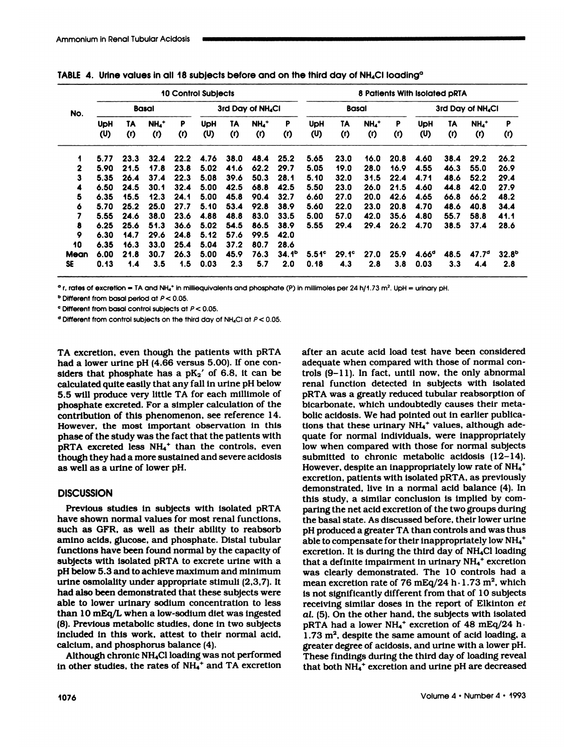|                                   |                                      | <b>10 Control Subjects</b>          |                                     |                                     |                                      |                                     |                                         |                                                  |                                     | 8 Patients With Isolated pRTA |                              |                     |                                   |                     |                                  |                          |  |  |
|-----------------------------------|--------------------------------------|-------------------------------------|-------------------------------------|-------------------------------------|--------------------------------------|-------------------------------------|-----------------------------------------|--------------------------------------------------|-------------------------------------|-------------------------------|------------------------------|---------------------|-----------------------------------|---------------------|----------------------------------|--------------------------|--|--|
| No.                               |                                      | <b>Basal</b>                        |                                     |                                     |                                      | 3rd Day of NH <sub>4</sub> CI       |                                         |                                                  |                                     | <b>Basal</b>                  |                              |                     | 3rd Day of NH <sub>4</sub> CI     |                     |                                  |                          |  |  |
|                                   | <b>UpH</b><br>(ሀ)                    | TA<br>( r )                         | $NHa$ +<br>(1)                      | P<br>( r )                          | <b>UpH</b><br>(ሀ)                    | 1A<br>( r)                          | $NHa$ <sup>+</sup><br>$\left( r\right)$ | P<br>( r )                                       | <b>UpH</b><br>(ሀ)                   | TA<br>(1)                     | $NH_4$ <sup>+</sup><br>( r ) | P<br>(1)            | <b>UpH</b><br>(ሀ)                 | TA<br>(1)           | $NH_4$ <sup>+</sup><br>(1)       | P<br>(1)                 |  |  |
| 1                                 | 5.77                                 | 23.3                                | 32.4                                | 22.2                                | 4.76                                 | 38.0                                | 48.4                                    | 25.2                                             | 5.65                                | 23.0                          | 16.0                         | 20.8                | 4.60                              | 38.4                | 29.2                             | 26.2                     |  |  |
| 2                                 | 5.90                                 | 21.5                                | 17.8                                | 23.8                                | 5.02                                 | 41.6                                | 62.2                                    | 29.7                                             | 5.05                                | 19.0                          | 28.0                         | 16.9                | 4.55                              | 46.3                | 55.0                             | 26.9                     |  |  |
| 3                                 | 5.35                                 | 26.4                                | 37.4                                | 22.3                                | 5.08                                 | 39.6                                | 50.3                                    | 28.1                                             | 5.10                                | 32.0                          | 31.5                         | 22.4                | 4.71                              | 48.6                | 52.2                             | 29.4                     |  |  |
| 4                                 | 6.50                                 | 24.5                                | 30.1                                | 32.4                                | 5.00                                 | 42.5                                | 68.8                                    | 42.5                                             | 5.50                                | 23.0                          | 26.0                         | 21.5                | 4.60                              | 44.8                | 42.0                             | 27.9                     |  |  |
| 5                                 | 6.35                                 | 15.5                                | 12.3                                | 24.1                                | 5.00                                 | 45.8                                | 90.4                                    | 32.7                                             | 6.60                                | 27.0                          | 20.0                         | 42.6                | 4.65                              | 66.8                | 66.2                             | 48.2                     |  |  |
| 6                                 | 5.70                                 | 25.2                                | 25.0                                | 27.7                                | 5.10                                 | 53.4                                | 92.8                                    | 38.9                                             | 5.60                                | 22.0                          | 23.0                         | 20.8                | 4.70                              | 48.6                | 40.8                             | 34.4                     |  |  |
| 7                                 | 5.55                                 | 24.6                                | 38.0                                | 23.6                                | 4.88                                 | 48.8                                | 83.0                                    | 33.5                                             | 5.00                                | 57.0                          | 42.0                         | 35.6                | 4.80                              | 55.7                | 58.8                             | 41.1                     |  |  |
|                                   |                                      |                                     |                                     |                                     |                                      |                                     |                                         |                                                  |                                     |                               |                              |                     |                                   |                     |                                  | 28.6                     |  |  |
|                                   |                                      |                                     |                                     |                                     |                                      |                                     |                                         |                                                  |                                     |                               |                              |                     |                                   |                     |                                  |                          |  |  |
|                                   |                                      |                                     |                                     |                                     |                                      |                                     |                                         |                                                  |                                     |                               |                              |                     |                                   |                     |                                  |                          |  |  |
|                                   |                                      |                                     |                                     |                                     |                                      |                                     |                                         |                                                  |                                     |                               |                              |                     |                                   |                     |                                  | 32.8 <sup>b</sup><br>2.8 |  |  |
| 8<br>9<br>10<br>Mean<br><b>SE</b> | 6.25<br>6.30<br>6.35<br>6.00<br>0.13 | 25.6<br>14.7<br>16.3<br>21.8<br>1.4 | 51.3<br>29.6<br>33.0<br>30.7<br>3.5 | 36.6<br>24.8<br>25.4<br>26.3<br>1.5 | 5.02<br>5.12<br>5.04<br>5.00<br>0.03 | 54.5<br>57.6<br>37.2<br>45.9<br>2.3 | 86.5<br>99.5<br>80.7<br>76.3<br>5.7     | 38.9<br>42.0<br>28.6<br>34.1 <sup>b</sup><br>2.0 | 5.55<br>$5.51$ <sup>c</sup><br>0.18 | 29.4<br>$29.1^{\circ}$<br>4.3 | 29.4<br>27.0<br>2.8          | 26.2<br>25.9<br>3.8 | 4.70<br>4.66 <sup>d</sup><br>0.03 | 38.5<br>48.5<br>3.3 | 37.4<br>47.7 <sup>d</sup><br>4.4 |                          |  |  |

 $\sigma$  Different from basal control subjects at  $P < 0.05$ .<br>  $\sigma$  Different from control subjects on the third day of NH<sub>4</sub>Cl at  $P < 0.05$ .<br> **TA excretion, even though the patients with pRTA** aft<br> **had a lower urine pH** (4.6  $^{\circ}$  Different from control subjects on the third day of NH<sub>4</sub>Cl at  $P < 0.05$ <br>TA excretion, even though the patients with pRTA<br>had a lower urine pH (4.66 versus 5.00). If one con-<br>siders that phosphate has a pK<sub>2</sub>' of 6 TA excretion, even though the patients with pRTA<br>had a lower urine pH  $(4.66 \text{ versus } 5.00)$ . If one con-<br>siders that phosphate has a pK<sub>2</sub>' of 6.8, it can be<br>calculated quite easily that any fall in urine pH below TA excretion, even though the patients with pRTA after and a lower urine pH (4.66 versus 5.00). If one considers that phosphate has a  $pK_2'$  of 6.8, it can be tree calculated quite easily that any fall in urine pH below TA excretion, even though the patients with pRTA<br>had a lower urine pH (4.66 versus 5.00). If one con-<br>siders that phosphate has a  $pk_2'$  of 6.8, it can be<br>calculated quite easily that any fall in urine pH below<br>5.5 will p had a lower urine pH (4.66 versus 5.00). If one considers that phosphate has a  $pk_2'$  of 6.8, it can be calculated quite easily that any fall in urine pH below 5.5 will produce very little TA for each millimole of phospha siders that phosphate has a  $pK_2'$  of 6.8, it can be calculated quite easily that any fall in urine pH below 5.5 will produce very little TA for each millimole of phosphate excreted. For a simpler calculation of the cont calculated quite easily that any fall in urine pH below<br>5.5 will produce very little TA for each millimole of<br>phosphate excreted. For a simpler calculation of the<br>contribution of this phenomenon, see reference 14.<br>However, 5.5 will produce very little TA for each millimole of<br>phosphate excreted. For a simpler calculation of the<br>contribution of this phenomenon, see reference 14.<br>However, the most important observation in this<br>phase of the st phosphate excreted. For a simpler calculation of the<br>contribution of this phenomenon, see reference 14.<br>However, the most important observation in this<br>phase of the study was the fact that the patients with<br>pRTA excreted l contribution of this phenomenon, see reference 14.<br>However, the most important observation in this<br>phase of the study was the fact that the patients with<br>pRTA excreted less  $NH_4^+$  than the controls, even<br>though they had However, the most important<br>phase of the study was the fact tl<br>pRTA excreted less  $NH_4^+$  than<br>though they had a more sustaine<br>as well as a urine of lower pH.

# **DISCUSSION**

DISCUSSION<br>Previous studies in subjects with isolated pRT.<br>have shown normal values for most renal functions,<br>such as GFR, as well as their ability to reabsor DISCUSSION<br>Previous studies in subjects with isolated pRTA<br>have shown normal values for most renal functions,<br>such as GFR, as well as their ability to reabsorb<br>amino acids, glucose, and phosphate. Distal tubular Previous studies in subjects with isolated pRTA<br>have shown normal values for most renal functions,<br>such as GFR, as well as their ability to reabsorb<br>amino acids, glucose, and phosphate. Distal tubular<br>functions have been f Previous studies in subjects with isolated pRTA<br>have shown normal values for most renal functions,<br>such as GFR, as well as their ability to reabsorb<br>amino acids, glucose, and phosphate. Distal tubular<br>functions have been f have shown normal values for most renal functions,<br>such as GFR, as well as their ability to reabsorb<br>amino acids, glucose, and phosphate. Distal tubular<br>functions have been found normal by the capacity of<br>subjects with iso such as GFR, as well as their ability to reabsorb<br>amino acids, glucose, and phosphate. Distal tubular<br>functions have been found normal by the capacity of<br>esubjects with isolated pRTA to excrete urine with a<br>pH below 5.3 an amino acids, glucose, and phosphate. Distal tubular<br>functions have been found normal by the capacity of<br>subjects with isolated pRTA to excrete urine with a<br>pH below 5.3 and to achieve maximum and minimum<br>urine osmolality u functions have been found normal by the capacity of<br>subjects with isolated pRTA to excrete urine with a<br>pH below 5.3 and to achieve maximum and minimum<br>urine osmolality under appropriate stimuli (2,3,7). It<br>had also been d subjects with isolated pRTA to excrete urine with a<br>pH below 5.3 and to achieve maximum and minimum<br>urine osmolality under appropriate stimuli (2,3,7). It<br>had also been demonstrated that these subjects were<br>able to lower u pH below 5.3 and to achieve maximum and minimum<br>urine osmolality under appropriate stimuli (2,3,7). It<br>had also been demonstrated that these subjects were<br>able to lower urinary sodium concentration to less<br>than 10 mEq/L wh urine osmolality under appropriate stimuli (2,3,7). It<br>had also been demonstrated that these subjects were<br>able to lower urinary sodium concentration to less<br>than 10 mEq/L when a low-sodium diet was ingested<br>(8). Previous had also been demonstrated that these subjects were<br>able to lower urinary sodium concentration to less<br>than 10 mEq/L when a low-sodium diet was ingested<br>(8). Previous metabolic studies, done in two subjects<br>included in thi able to lower urinary sodium concentr<br>than 10 mEq/L when a low-sodium diet<br>(8). Previous metabolic studies, done in<br>included in this work, attest to their<br>calcium, and phosphorus balance (4).<br>Although chronic NH<sub>4</sub>Cl loadi an 10 mEq/L when a low-sodium diet was ingested<br>). Previous metabolic studies, done in two subjects<br>cluded in this work, attest to their normal acid,<br>leium, and phosphorus balance (4).<br>Although chronic NH<sub>4</sub>Cl loading was (8). Previous metabolic studies, done in two subjects included in this work, attest to their normal acid, calcium, and phosphorus balance (4).<br>Although chronic NH<sub>4</sub>Cl loading was not performed in other studies, the rates

Although chronic NH<sub>4</sub>Cl loading was not performed<br>
in other studies, the rates of NH<sub>4</sub><sup>+</sup> and TA excretion<br>
that both NH<sub>4</sub><sup>+</sup> excretion and urine pH are decreased<br>
Volume 4 · Number 4 · 1993 as well as a urine of lower pH.<br>
However, despite an inappropriately low rate of NH<sub>4</sub><sup>+</sup><br>
excretion, patients with isolated pRTA, as previously<br>
demonstrated, live in a normal acid balance (4). In<br>
this study, a similar c after an acute acid load test have been considered<br>adequate when compared with those of normal conafter an acute acid load test have been considered<br>adequate when compared with those of normal con-<br>trols (9–11). In fact, until now, the only abnorma after an acute acid load test have been considered<br>adequate when compared with those of normal con<br>trols (9–11). In fact, until now, the only abnorma<br>renal function detected in subjects with isolated after an acute acid load test have been considered<br>adequate when compared with those of normal con-<br>trols (9–11). In fact, until now, the only abnormal<br>renal function detected in subjects with isolated<br>pRTA was a greatly r after an acute acid load test have been considered<br>adequate when compared with those of normal con-<br>trols (9–11). In fact, until now, the only abnormal<br>renal function detected in subjects with isolated<br>pRTA was a greatly r adequate when compared with those of normal co<br>trols (9–11). In fact, until now, the only abnorm<br>renal function detected in subjects with isolate<br>pRTA was a greatly reduced tubular reabsorption<br>bicarbonate, which undoubted trols (9–11). In fact, until now, the only abnori<br>renal function detected in subjects with isola<br>pRTA was a greatly reduced tubular reabsorption<br>bicarbonate, which undoubtedly causes their me<br>bolic acidosis. We had pointed renal function detected in subjects with isolated pRTA was a greatly reduced tubular reabsorption of bicarbonate, which undoubtedly causes their metabolic acidosis. We had pointed out in earlier publications that these uri bicarbonate, which undoubtedly causes their meta-<br>bolic acidosis. We had pointed out in earlier publica-<br>tions that these urinary  $NH_4^+$  values, although ade-<br>quate for normal individuals, were inappropriately<br>low when c bicarbonate, which undoubtedly causes their meta-<br>bolic acidosis. We had pointed out in earlier publica-<br>tions that these urinary NH<sub>4</sub><sup>+</sup> values, although ade-<br>quate for normal individuals, were inappropriately<br>low when c bolic acidosis. We had pointed out in earlier publications that these urinary NH<sub>4</sub><sup>+</sup> values, although adequate for normal individuals, were inappropriately<br>low when compared with those for normal subjects<br>submitted to ch tions that these urinary NH<sub>4</sub><sup>+</sup> values, although adequate for normal individuals, were inappropriately<br>low when compared with those for normal subjects<br>submitted to chronic metabolic acidosis  $(12-14)$ .<br>However, despite quate for normal individuals, were inappropriately<br>low when compared with those for normal subjects<br>submitted to chronic metabolic acidosis  $(12-14)$ .<br>However, despite an inappropriately low rate of NH<sub>4</sub><sup>+</sup><br>excretion, pa low when compared with those for normal subjects<br>submitted to chronic metabolic acidosis (12–14).<br>However, despite an inappropriately low rate of NH<sub>4</sub><sup>+</sup><br>excretion, patients with isolated pRTA, as previously<br>demonstrated, However, despite an inappropriately low rate of  $NH_4$ <sup>+</sup> However, despite an inappropriately low rate of  $NH_4^+$ <br>excretion, patients with isolated pRTA, as previously<br>demonstrated, live in a normal acid balance (4). In<br>this study, a similar conclusion is implied by com-<br>paring excretion, patients with isolated pRTA, as previously<br>demonstrated, live in a normal acid balance (4). In<br>this study, a similar conclusion is implied by com-<br>paring the net acid excretion of the two groups during<br>the basal demonstrated, live in a normal acid balance (4). In<br>this study, a similar conclusion is implied by com-<br>paring the net acid excretion of the two groups during<br>the basal state. As discussed before, their lower urine<br>pH prod this study, a similar conclusion is implied by comparing the net acid excretion of the two groups during<br>the basal state. As discussed before, their lower urine<br>pH produced a greater TA than controls and was thus<br>able to c paring the net acid excretion of the two groups during<br>the basal state. As discussed before, their lower urine<br>pH produced a greater TA than controls and was thus<br>able to compensate for their inappropriately low NH<sub>4</sub><sup>+</sup><br>e the basal state. As discussed before, their lower urine<br>pH produced a greater TA than controls and was thus<br>able to compensate for their inappropriately low NH<sub>4</sub><sup>+</sup><br>excretion. It is during the third day of NH<sub>4</sub>Cl loading pH produced a greater TA than controls and was thus<br>able to compensate for their inappropriately low NH<sub>4</sub><sup>+</sup><br>excretion. It is during the third day of NH<sub>4</sub>Cl loading<br>that a definite impairment in urinary NH<sub>4</sub><sup>+</sup> excretio able to compensate for their inappropriately low NH<sub>4</sub><sup>+</sup><br>excretion. It is during the third day of NH<sub>4</sub>Cl loading<br>that a definite impairment in urinary NH<sub>4</sub><sup>+</sup> excretion<br>was clearly demonstrated. The 10 controls had a<br>m excretion. It is during the third day of NH<sub>4</sub>Cl loading<br>that a definite impairment in urinary NH<sub>4</sub><sup>+</sup> excretion<br>was clearly demonstrated. The 10 controls had a<br>mean excretion rate of 76 mEq/24 h·1.73 m<sup>2</sup>, which<br>is not that a definite impairment in urinary NH<sub>4</sub><sup>+</sup> excretion<br>was clearly demonstrated. The 10 controls had a<br>mean excretion rate of 76 mEq/24 h·1.73 m<sup>2</sup>, which<br>is not significantly different from that of 10 subjects<br>receiving mean excretion rate of 76 mEq/24 h $\cdot$  1.73 m<sup>2</sup>, which<br>is not significantly different from that of 10 subjects<br>receiving similar doses in the report of Elkinton *et*<br>al. (5). On the other hand, the subjects with isolated is not significantly different from that of 10 subjects<br>receiving similar doses in the report of Elkinton *et*<br>al. (5). On the other hand, the subjects with isolated<br>pRTA had a lower  $NH_4$ <sup>+</sup> excretion of 48 mEq/24 h<br>1.73 receiving similar doses in the report of Elkinton *et* al. (5). On the other hand, the subjects with isolated pRTA had a lower NH<sub>4</sub><sup>+</sup> excretion of 48 mEq/24 h 1.73 m<sup>2</sup>, despite the same amount of acid loading, a greate al. (5). On the other hand, the subjects with isolated<br>pRTA had a lower  $NH_4^+$  excretion of 48 mEq/24 h·<br>1.73 m<sup>2</sup>, despite the same amount of acid loading, a<br>greater degree of acidosis, and urine with a lower pH.<br>These pRTA had a lower  $NH_4^+$  excretion of 48 mEq/2-<br>1.73 m<sup>2</sup>, despite the same amount of acid loadir<br>greater degree of acidosis, and urine with a lower<br>These findings during the third day of loading re<br>that both  $NH_4^+$  excr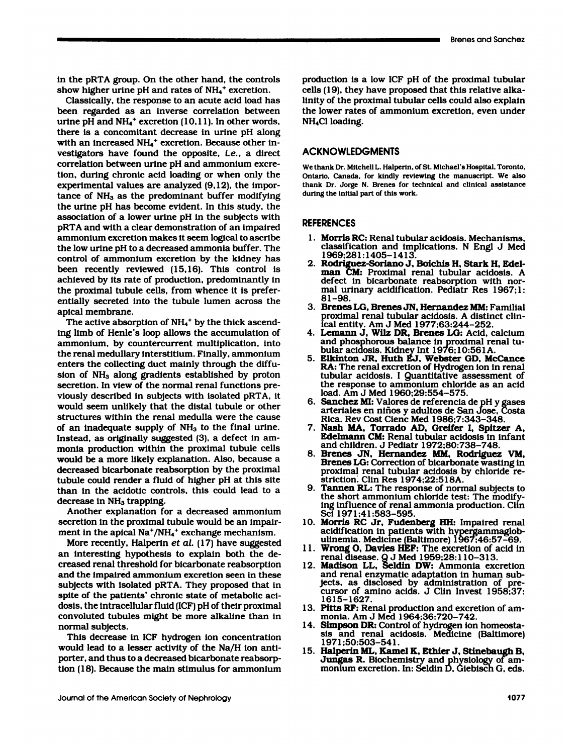in the pRTA group. On the other hand, the controls<br>show higher urine pH and rates of NH<sub>4</sub><sup>+</sup> excretion. in the pRTA group. On the other hand, the contra<br>show higher urine pH and rates of NH<sub>4</sub><sup>+</sup> excretion<br>. Classically, the response to an acute acid load l

the pRTA group. On the other hand, the controls<br>low higher urine pH and rates of  $NH<sub>4</sub>$ <sup>+</sup> excretion.<br>Classically, the response to an acute acid load has<br>leen regarded as an inverse correlation between in the pRTA group. On the other hand, the controls<br>show higher urine pH and rates of  $NH_4^+$  excretion.<br>Classically, the response to an acute acid load has<br>been regarded as an inverse correlation between<br>urine pH and  $NH_4$ in the pRTA group. On the other hand, the controls<br>show higher urine pH and rates of  $NH_4^+$  excretion.<br>Classically, the response to an acute acid load has<br>been regarded as an inverse correlation between<br>urine pH and  $NH_4$ show higher urine pH and rates of  $NH_4$ <sup>+</sup> excretion.<br>Classically, the response to an acute acid load has<br>been regarded as an inverse correlation between<br>urine pH and NH<sub>4</sub><sup>+</sup> excretion (10,11). In other words,<br>there is a Classically, the response to an acute acid load has<br>been regarded as an inverse correlation between<br>urine pH and NH<sub>4</sub><sup>+</sup> excretion (10,11). In other words,<br>there is a concomitant decrease in urine pH along<br>with an increa been regarded as an inverse correlation between<br>urine pH and NH<sub>4</sub><sup>+</sup> excretion (10,11). In other words,<br>there is a concomitant decrease in urine pH along<br>with an increased NH<sub>4</sub><sup>+</sup> excretion. Because other in-<br>vestigators urine pH and NH<sub>4</sub><sup>+</sup> excretion (10,11). In other word<br>there is a concomitant decrease in urine pH alo<br>with an increased NH<sub>4</sub><sup>+</sup> excretion. Because other if<br>vestigators have found the opposite, *i.e.*, a directrelation b there is a concomitant decrease in urine pH along<br>with an increased  $NH_4^+$  excretion. Because other in-<br>vestigators have found the opposite, *t.e.*, a direct<br>correlation between urine pH and ammonium excre-<br>tion, during with an increased NH<sub>4</sub><sup>+</sup> excretion. Because other vestigators have found the opposite, *i.e.*, a direcorrelation between urine pH and ammonium exclion, during chronic acid loading or when only texperimental values are a vestigators have found the opposite, *i.e.*, a direct correlation between urine pH and ammonium excretion, during chronic acid loading or when only the experimental values are analyzed  $(9,12)$ , the importance of NH<sub>3</sub> as correlation between urine pH and ammonium excretion, during chronic acid loading or when only the experimental values are analyzed  $(9,12)$ , the importance of  $NH_3$  as the predominant buffer modifying the urine pH has bec tion, during chronic acid loading or when only the experimental values are analyzed  $(9,12)$ , the importance of  $NH_3$  as the predominant buffer modifying the urine pH has become evident. In this study, the association of experimental values are analyzed  $(9,12)$ , the importance of NH<sub>3</sub> as the predominant buffer modifying the urine pH has become evident. In this study, the association of a lower urine pH in the subjects with pRTA and with tance of  $NH_3$  as the predominant buffer modifying<br>the urine pH has become evident. In this study, the<br>association of a lower urine pH in the subjects with<br>pRTA and with a clear demonstration of an impaired<br>ammonium excre the urine pH has become evident. In this study, the<br>association of a lower urine pH in the subjects with<br>pRTA and with a clear demonstration of an impaired<br>ammonium excretion makes it seem logical to ascribe<br>the low urine pRTA and with a clear demonstration of an impaired<br>ammonium excretion makes it seem logical to ascribe<br>the low urine pH to a decreased ammonia buffer. The<br>control of ammonium excretion by the kidney has<br>been recently revie pRTA and with a clear demonstration of an impaired<br>ammonium excretion makes it seem logical to ascribe<br>the low urine pH to a decreased ammonia buffer. The<br>control of ammonium excretion by the kidney has<br>been recently revie ammonium excretion makes it seem logical to ascribe<br>the low urine pH to a decreased ammonia buffer. The<br>control of ammonium excretion by the kidney has<br>been recently reviewed (15,16). This control is<br>achieved by its rate o the low urine pH to a decreased ammonia buffer. T<br>control of ammonium excretion by the kidney l<br>been recently reviewed (15,16). This control<br>achieved by its rate of production, predominantly<br>the proximal tubule cells, from control of ammonium excretion by the kidney has<br>been recently reviewed (15,16). This control is<br>achieved by its rate of production, predominantly in<br>the proximal tubule cells, from whence it is prefer-<br>entially secreted in been recently<br>achieved by its if<br>the proximal tul<br>entially secreted<br>apical membran<br>The active abs thieved by its rate of production, predominantly<br>the proximal tubule cells, from whence it is prettially secreted into the tubule lumen across<br>bical membrane.<br>The active absorption of NH<sub>4</sub><sup>+</sup> by the thick ascend-<br>g limb o

the proximal tubule cells, from whence it is preferentially secreted into the tubule lumen across the apical membrane.<br>The active absorption of NH<sub>4</sub><sup>+</sup> by the thick ascending limb of Henle's loop allows the accumulation o entially secreted into the tubule lumen across the<br>apical membrane.<br>The active absorption of NH<sub>4</sub><sup>+</sup> by the thick ascend-<br>ing limb of Henle's loop allows the accumulation of<br>ammonium, by countercurrent multiplication, int apical membrane.<br>The active absorption of NH<sub>4</sub><sup>+</sup> by the thick ascend-<br>ing limb of Henle's loop allows the accumulation of<br>ammonium, by countercurrent multiplication, into<br>the renal medullary interstitium. Finally, ammoni The active absorption of  $NH_4^+$  by the thick ascenting limb of Henle's loop allows the accumulation ammonium, by countercurrent multiplication, in the renal medullary interstitium. Finally, ammoniuenters the collecting d ing limb of Henle's loop allows the accumulation of<br>ammonium, by countercurrent multiplication, into<br>the renal medullary interstitium. Finally, ammonium<br>enters the collecting duct mainly through the diffu-<br>sion of NH<sub>3</sub> al ammonium, by countercurrent multiplication, into<br>the renal medullary interstitium. Finally, ammonium<br>enters the collecting duct mainly through the diffu-<br>sion of NH<sub>3</sub> along gradients established by proton<br>secretion. In vi the renal medullary interstitium. Finally, ammonium<br>enters the collecting duct mainly through the diffu-<br>sion of NH<sub>3</sub> along gradients established by proton<br>secretion. In view of the normal renal functions pre-<br>viously des enters the collecting duct mainly through the diffu-<br>sion of NH<sub>3</sub> along gradients established by proton<br>secretion. In view of the normal renal functions pre-<br>viously described in subjects with isolated pRTA, it<br>would seem sion of NH<sub>3</sub> along gradients established by proton<br>secretion. In view of the normal renal functions pre-<br>viously described in subjects with isolated pRTA, it<br>would seem unlikely that the distal tubule or other<br>structures viously described in subjects with isolated pRTA, it<br>would seem unlikely that the distal tubule or other<br>structures within the renal medulla were the cause<br>of an inadequate supply of NH<sub>3</sub> to the final urine.<br>Instead, as o viously described in subjects with isolated pRTA, if would seem unlikely that the distal tubule or other structures within the renal medulla were the cause of an inadequate supply of NH<sub>3</sub> to the final urine. Instead, as o would seem unlikely that the distal tubule or other<br>structures within the renal medulla were the cause<br>of an inadequate supply of NH<sub>3</sub> to the final urine.<br>Instead, as originally suggested (3), a defect in am-<br>monia produc structures within the renal medulla were the cause<br>of an inadequate supply of NH<sub>3</sub> to the final urine.<br>Instead, as originally suggested (3), a defect in am-<br>monia production within the proximal tubule cells<br>would be a mor of an inadequate supply of  $NH_3$  to the final urine.<br>Instead, as originally suggested (3), a defect in am-<br>monia production within the proximal tubule cells<br>would be a more likely explanation. Also, because a<br>decreased bi Instead, as originally suggested (3), a defect in am-<br>monia production within the proximal tubule cells<br>would be a more likely explanation. Also, because a<br>decreased bicarbonate reabsorption by the proximal<br>tubule could re monia production within the proximal tubule cells<br>would be a more likely explanation. Also, because a<br>decreased bicarbonate reabsorption by the proximal<br>tubule could render a fluid of higher pH at this site<br>than in the aci would be a more likely exercised bicarbonate retubule could render a fluch<br>than in the acidotic condecrease in NH<sub>3</sub> trapping<br>Another explanation i creased bicarbonate reabsorption by the proximal<br>bule could render a fluid of higher pH at this site<br>an in the acidotic controls, this could lead to a<br>crease in NH<sub>3</sub> trapping.<br>Another explanation for a decreased ammonium<br>

tubule could render a fluid of higher pH at this s<br>than in the acidotic controls, this could lead to<br>decrease in  $NH_3$  trapping.<br>Another explanation for a decreased ammoni<br>secretion in the proximal tubule would be an impa than in the acidotic controls, this could lead to<br>decrease in NH<sub>3</sub> trapping.<br>Another explanation for a decreased ammoni<br>secretion in the proximal tubule would be an imp<br>ment in the apical Na<sup>+</sup>/NH<sub>4</sub><sup>+</sup> exchange mechanis decrease in NH<sub>3</sub> trapping.<br>
Another explanation for a decreased ammonium<br>
secretion in the proximal tubule would be an impair-<br>
ment in the apical Na<sup>+</sup>/NH<sub>4</sub><sup>+</sup> exchange mechanism.<br>
More recently, Halperin *et al.* (17)

Another explanation for a decreased ammonium<br>secretion in the proximal tubule would be an impair-<br>ment in the apical  $\text{Na}^*/\text{NH}_4{}^+$  exchange mechanism.<br>More recently, Halperin *et al.* (17) have suggested<br>an interesti secretion in the proximal tubule would be an impair-<br>ment in the apical  $\text{Na}^+/\text{NH}_4^+$  exchange mechanism.<br>More recently, Halperin *et al.* (17) have suggested<br>an interesting hypothesis to explain both the de-<br>creased ment in the apical Na<sup>+</sup>/NH<sub>4</sub><sup>+</sup> exchange mechanism.<br>More recently, Halperin *et al.* (17) have suggested<br>an interesting hypothesis to explain both the de-<br>creased renal threshold for bicarbonate reabsorption<br>and the imp More recently, Halperin *et al.* (17) have suggested<br>an interesting hypothesis to explain both the de-<br>creased renal threshold for bicarbonate reabsorption<br>and the impaired ammonium excretion seen in these<br>subjects with i an interesting hypothesis to explain both the decreased renal threshold for bicarbonate reabsorption<br>and the impaired ammonium excretion seen in these<br>subjects with isolated pRTA. They proposed that in<br>spite of the patient creased renal threshold for bicarbonate reabsorption<br>and the impaired ammonium excretion seen in these<br>subjects with isolated pRTA. They proposed that in<br>spite of the patients' chronic state of metabolic aci-<br>dosis, the in and the impaired ammonium excretion seen in these<br>subjects with isolated pRTA. They proposed that in<br>spite of the patients' chronic state of metabolic aci-<br>dosis, the intracellular fluid (ICF) pH of their proximal<br>convolut subjects with is<br>spite of the pati<br>dosis, the intrace<br>convoluted tubu<br>normal subjects<br>This decrease is die of the patients' chronic state of metabolic aci-<br>sis, the intracellular fluid (ICF) pH of their proximal<br>nnvoluted tubules might be more alkaline than in<br>ormal subjects.<br>This decrease in ICF hydrogen ion concentrati

porter, and thus to a decreased bicarbonate reabsorp-<br>
1077 Jungas R. Biochemistry and physiology of am-<br>
1077 Jungas R. Biochemistry and physiology of am-<br>
1077 Jungas R. Biochemistry and physiology of am-<br>
1077 Mound of dosis, the intracellular fluid (ICF) pH of their proxime<br>convoluted tubules might be more alkaline than is<br>normal subjects.<br>This decrease in ICF hydrogen ion concentratio<br>would lead to a lesser activity of the Na/H ion ant convoluted tubules might be more alkaline than in<br>normal subjects.<br>This decrease in ICF hydrogen ion concentration<br>would lead to a lesser activity of the Na/H ion anti-<br>porter, and thus to a decreased bicarbonate reabsorp-

Brenes and Sanchez<br>production is a low ICF pH of the proximal tubular<br>cells (19), they have proposed that this relative alkaproduction is a low ICF pH of the proximal tubula<br>cells (19), they have proposed that this relative alka<br>linity of the proximal tubular cells could also explai production is a low ICF pH of the proximal tubular<br>cells (19), they have proposed that this relative alka-<br>linity of the proximal tubular cells could also explain<br>the lower rates of ammonium excretion, even under production is a low ICF pH of the proximal tubular<br>cells (19), they have proposed that this relative alka-<br>linity of the proximal tubular cells could also explain<br>the lower rates of ammonium excretion, even under<br>NH<sub>4</sub>Cl l cells (19), they have proposed that this relative alka-<br>linity of the proximal tubular cells could also explain<br>the lower rates of ammonium excretion, even under<br>NH<sub>4</sub>Cl loading.

# ACKNOWLEDGMENTS

We thank Dr. Mitchell L. Halperin, of St. Michael's Hospital, Toronto, Ontario, Canada, for kindly reviewing the manuscript. We also ACKNOWLEDGMENTS<br>We thank Dr. Mitchell L. Halperin, of St. Michael's Hospital, Toronto,<br>Ontario, Canada, for kindly reviewing the manuscript. We also<br>thank Dr. Jorge N. Brenes for technical and clinical assistance ACKNOWLEDGMENTS<br>We thank Dr. Mitchell L. Halperin, of St. Michael's Hospital, Toronto,<br>Ontario, Canada, for kindly reviewing the manuscript. We also<br>thank Dr. Jorge N. Brenes for technical and clinical assistance<br>during th We thank Dr. Mitchell L. Halperin, o<br>Ontario, Canada, for kindly revie<br>thank Dr. Jorge N. Brenes for te<br>during the initial part of this work.

## **REFERENCES**

- iring the initial part of this work.<br>
EFERENCES<br>
1. Morris RC: Renal tubular acidosis. Mechanism<br>
classification and implications. N Engl J M RENCES<br>Morris RC: Renal tubular acidosis. Mechanisms.<br>classification and implications. N Engl J Med<br>1969;281:1405–1413. 1969:281:1405-1413. EFERENCES<br>
1. Morris RC: Renal tubular acidosis. Mechanism<br>
classification and implications. N Engl J Me<br>
1969:281:1405-1413.<br>
2. Rodriguez-Soriano J, Boichis H, Stark H, Ede<br>
man CM: Proximal renal tubular acidosis.
- Morris RC: Renal tubular acidosis. Mechanisms,<br>classification and implications. N Engl J Med<br>1969:281:1405–1413.<br>Rodriguez-Soriano J, Boichis H, Stark H, Edel-<br>man CM: Proximal renal tubular acidosis. A<br>defect in bicarbona Morris RC: Renal tubular acidosis. Mechanisms<br>classification and implications. N Engl J Mec<br>1969:281:1405–1413.<br>Rodriguez-Soriano J, Boichis H, Stark H, Edel-<br>man CM: Proximal renal tubular acidosis. A<br>defect in bicarbonat classification and implications. N Engl J Med<br>1969:281:1405–1413.<br>Rodriguez-Soriano J, Boichis H, Stark H, Edelman CM: Proximal renal tubular acidosis. A<br>defect in bicarbonate reabsorption with nor-<br>mal urinary acidificati 1969:28<br>**Rodrigu<br>man Cl**<br>defect i<br>mal uri<br>81-98.<br>Brenes i 2. Rodriguez-Soriano J, Boichis H, Stark H, Edelman CM: Proximal renal tubular acidosis. A defect in bicarbonate reabsorption with normal urinary acidification. Pediatr Res 1967;1:<br>81–98.<br>3. Brenes LG, Brenes JN, Hernandez
- defect in bicarbonate reabsorption with nor-<br>mal urinary acidification. Pediatr Res 1967;1:<br>81-98.<br>3. **Brenes LG, Brenes JN, Hernandez MM**: Familial<br>proximal renal tubular acidosis. A distinct clin-<br>ical entity. Am J Med 1 ical entity. Am J Med 1977:63:244-252. mal urinary acidification. Pediatr Res 1967;1:<br>81–98.<br>3. Brenes LG, Brenes JN, Hernandez MM: Familial<br>proximal renal tubular acidosis. A distinct clin-<br>ical entity. Am J Med 1977;63:244–252.<br>4. Lemann J, Wilz DR, Brenes LG
- 81-98.<br>
Brenes LG, Brenes JN, Hernandez MM: Familial<br>
proximal renal tubular acidosis. A distinct clin-<br>
ical entity. Am J Med 1977;63:244-252.<br> **Lemann J, Wilz DR, Brenes LG:** Acid, calcium<br>
and phosphorous balance in pro Brenes LG, Brenes JN, Hernandez MM: Fam<br>proximal renal tubular acidosis. A distinct dical entity. Am J Med 1977;63:244–252.<br>Lemann J, Wilz DR, Brenes LG: Acid, calc<br>and phosphorous balance in proximal rena<br>bular acidosis. proximal renal tubular acidosis. A distinct clinical entity. Am J Med 1977;63:244–252.<br>4. Lemann J, Wilz DR, Brenes LG: Acid, calcium<br>and phosphorous balance in proximal renal tu-<br>bular acidosis. Kidney Int 1976;10:561A.<br>5
- ical entity. Am J Med 1977;63:244–252.<br>Lemann J, Wilz DR, Brenes LG: Acid, calcium<br>and phosphorous balance in proximal renal tu-<br>bular acidosis. Kidney Int 1976;10:561A.<br>Elkinton JR, Huth EJ, Webster GD, McCance<br>RA: The re Lemann J, Wilz DR, Brenes LG: Acid, calcium<br>and phosphorous balance in proximal renal tu-<br>bular acidosis. Kidney Int 1976;10:561A.<br>Elkinton JR, Huth EJ, Webster GD, McCance<br>RA: The renal excretion of Hydrogen ion in renal<br> and phosphorous balance in proximal renal tubular acidosis. Kidney Int 1976;10:561A.<br>Elkinton JR, Huth EJ, Webster GD, McCance<br>RA: The renal excretion of Hydrogen ion in renal<br>tubular acidosis. I Guantitative assessment of bular acidosis. Kidney Int 197<br>**Elkinton JR, Huth EJ, Webs**<br>**RA:** The renal excretion of Hydubular acidosis. I Quantitati<br>the response to ammonium c<br>load. Am J Med 1960;29:554-<br>**Sanchez MI:** Valores de refere 5. Elkinton JR, Huth EJ, Webster GD, McCance<br>RA: The renal excretion of Hydrogen ion in renal<br>tubular acidosis. I Quantitative assessment of<br>the response to ammonium chloride as an acid<br>load. Am J Med 1960;29:554–575.<br>6. S RA: The renal excretion of Hydrogen ion in renal<br>tubular acidosis. I Guantitative assessment of<br>the response to ammonium chloride as an acid<br>load. Am J Med 1960;29:554–575.<br>Sanchez MI: Valores de referencia de pH y gases<br>a
- tubular acidosis. I Quantitative asses:<br>the response to ammonium chloride as<br>load. Am J Med 1960:29:554–575.<br>Sanchez MI: Valores de referencia de pi<br>arteriales en niños y adultos de San Jo<br>Rica. Rev Cost Cienc Med 1986:7:3 the response to ammonium chloride as an acid<br>
load. Am J Med 1960;29:554–575.<br>
6. Sanchez MI: Valores de referencia de pH y gases<br>
arteriales en niños y adultos de San Jose, Costa<br>
Rica. Rev Cost Cienc Med 1986;7:343–348.<br> load. Am J Med 1960;29:554–575.<br>Sanchez MI: Valores de referencia de pH y gases<br>arteriales en niños y adultos de San Jose, Costa<br>Rica. Rev Cost Cienc Med 1986;7:343–348.<br>Nash MA, Torrado AD, Greifer I, Spitzer A,<br>Edelmann Sanchez MI: Valores de referencia de<br>arteriales en niños y adultos de San .<br>Rica. Rev Cost Cienc Med 1986;7:34:3<br>Nash MA, Torrado AD, Greifer I,<br>Edelmann CM: Renal tubular acidosi<br>and children. J Pediatr 1972;80:738-<br>Brene
- arteriales en niños y adultos de San Jose, Costa<br>Rica. Rev Cost Cienc Med 1986;7:343–348.<br>7. Nash MA, Torrado AD, Greifer I, Spitzer A,<br>Edelmann CM: Renal tubular acidosis in infant<br>and children. J Pediatr 1972;80:738–748.
- Rica. Rev Cost Cienc Med 1986;7:343–348.<br>Nash MA, Torrado AD, Greifer I, Spitzer A,<br>Edelmann CM: Renal tubular acidosis in infant<br>and children. J Pediatr 1972;80:738–748.<br>Brenes JN, Hernandez MM, Rodriguez VM,<br>Brenes LG: C Nash MA, Torrado AD, Greifer I, Spitzer A, Edelmann CM: Renal tubular acidosis in infant<br>and children. J Pediatr 1972;80:738–748.<br>Brenes JN, Hernandez MM, Rodriguez VM,<br>Brenes JG: Correction of bicarbonate wasting in<br>proxi Edelmann CM: Renal tubular acidosis in infant<br>and children. J Pediatr 1972;80:738–748.<br>Brenes JN, Hernandez MM, Rodriguez VM,<br>Brenes LG: Correction of bicarbonate wasting in<br>proximal renal tubular acidosis by chloride re-<br> and children. J Pediatr 1972;80:738–748.<br>
8. **Brenes JN, Hernandez MM, Rodriguez VM,**<br> **Brenes LG:** Correction of bicarbonate wasting in<br>
proximal renal tubular acidosis by chloride re-<br>
striction. Clin Res 1974;22:518A.<br> Brenes JN, Hernandez MM, Rodriguez V<br>Brenes LG: Correction of bicarbonate wasting<br>proximal renal tubular acidosis by chloride<br>striction. Clin Res 1974;22:518A.<br>Tannen RL: The response of normal subjects<br>the short ammonium
- 9. Tannen RL: The response of normal subjects to<br>the short ammonium chloride test: The modify-<br>ing influence of renal ammonia production. Clin<br>Sci 1971;41:583–595.<br>10. Morris RC Jr, Fudenberg HH: Impaired renal ScI 1971;41:583-595. striction. Clin Res 1974;22:518A.<br>
9. Tannen RL: The response of normal subjects to<br>
the short ammonium chloride test: The modify-<br>
ing influence of renal ammonia production. Clin<br>
Sci 1971;41:583–595.<br>
10. Morris RC Jr, F Tannen RL: The response of normal sub-<br>the short ammonium chloride test: The<br>ing influence of renal ammonia producti-<br>Sci 1971;41:583-595.<br>Morris RC Jr, Fudenberg HH: Impaire<br>acidification in patients with hypergami<br>ullnem
- the short ammonium chloride test: The moing influence of renal ammonia production.<br>Sci 1971;41:583–595.<br>Morris RC Jr, Fudenberg HH: Impaired r<br>acidification in patients with hypergammaquilnemia. Medicine (Baltimore) 1967;4 ing influence of renal ammonia production. Clin<br>
Sci 1971;41:583–595.<br>
10. **Morris RC Jr, Fudenberg HH:** Impaired renal<br>
acidification in patients with hypergammaglob-<br>
ulinemia. Medicine (Baltimore) 1967;46:57–69.<br>
11. **W** Sci 1971;41:583–595.<br>Morris RC Jr, Fudenberg HH: Impaired<br>acidification in patients with hypergamm<br>ulinemia. Medicine (Baltimore) 1967;46:5<br>Wrong O, Davies HEF: The excretion of i<br>renal disease. Q J Med 1959;28:110–313<br>Mad 10. Morris RC Jr, Fudenberg HH: Impaired renal<br>acidification in patients with hypergammaglob-<br>ulinemia. Medicine (Baltimore) 1967;46:57–69.<br>11. Wrong O, Davies HEF: The excretion of acid in<br>renal disease. Q J Med 1959;28:1
- 
- acidification in patients with hypergammaglob<br>ulinemia. Medicine (Baltimore) 1967;46:57–69.<br>Wrong O, Davies HEF: The excretion of acid in<br>renal disease. Q J Med 1959;28:110–313.<br>Madison LL, Seldin DW: Ammonia excretion<br>and ulinemia. Medicine (Baltimore) 1967;46:57–69.<br>Wrong O, Davies HEF: The excretion of acid in<br>renal disease. Q J Med 1959;28:110–313.<br>Madison LL, Seldin DW: Ammonia excretion<br>and renal enzymatic adaptation in human sub-<br>ject **Wrong O, Davies HEF:** The excretion of acid in renal disease. Q J Med 1959;28:110–313.<br>Madison LL, Seldin DW: Ammonia excretion and renal enzymatic adaptation in human subjects, as disclosed by administration of precurso 1615-1627.<br>13. Pitts RF: Renal production and excretion of am-12. **Madison LL, Seldin DW:** Ammonia excretion<br>and renal enzymatic adaptation in human sub-<br>jects, as disclosed by administration of pre-<br>cursor of amino acids. J Clin Invest 1958;37:<br> $1615-1627$ .<br>13. Pitts RF: Renal prod and renal enzymatic adaptation<br>jects, as disclosed by adminis<br>cursor of amino acids. J Clin<br>1615–1627.<br>Pitts RF: Renal production and monia. Am J Med 1964;36:720-<br>Simpson DR: Control of hydroge jects, as disclosed by administration of<br>cursor of amino acids. J Clin Invest 1958<br>1615–1627.<br>13. **Pitts RF:** Renal production and excretion of<br>monia. Am J Med 1964:36:720–742.<br>14. **Simpson DR:** Control of hydrogen ion hom
- 
- normal subjects.<br>
This decrease in ICF hydrogen ion concentration<br>
would lead to a lesser activity of the Na/H ion anti-<br>
1971;50:503-541.<br>
15. Halperin ML, Kamel K, Ethier J, Stinebaugh B, cursor of amino acids. J Clin Invest 1958;37:<br>1615–1627.<br>Pitts RF: Renal production and excretion of am-<br>monia. Am J Med 1964;36:720–742.<br>Simpson DR: Control of hydrogen ion homeosta-<br>sis and renal acidosis. Medicine (Balt 13. Pitts RF: Renal production and excretion of ammonia. Am J Med 1964;36:720–742.<br>
14. Simpson DR: Control of hydrogen ion homeostasis and renal acidosis. Medicine (Baltimore)<br>
1971;50:503–541.<br>
15. Halperin ML, Kamel K,
	- monia. Am J Med 1964:36:720–742.<br>Simpson DR: Control of hydrogen ion homeosta-<br>sis and renal acidosis. Medicine (Baltimore)<br>1971:50:503–541.<br>Halperin ML, Kamel K, Ethier J, Stinebaugh B,<br>Jungas R. Biochemistry and physiolo Simpson DR: Control of hydrogen ion homeostasis and renal acidosis. Medicine (Baltimore)<br>1971;50:503–541.<br>Halperin ML, Kamel K, Ethier J, Stinebaugh B,<br>Jungas R. Biochemistry and physiology of am-<br>monium excretion. In: Sel